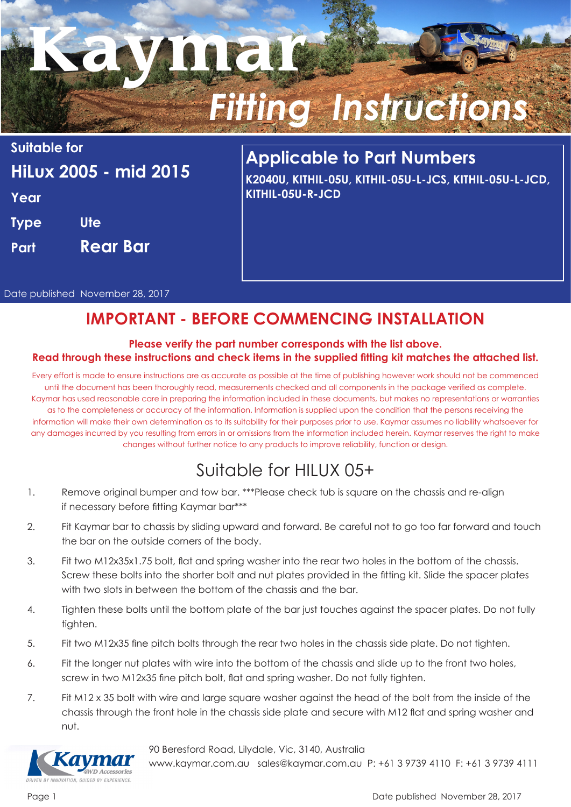# **Kaymar** *Fitting Instructions*

**Suitable for HiLux 2005 - mid 2015 Year Type Ute Part Rear Bar**

# **Applicable to Part Numbers**

**K2040U, KITHIL-05U, KITHIL-05U-L-JCS, KITHIL-05U-L-JCD, KITHIL-05U-R-JCD**

Date published November 28, 2017

## **IMPORTANT - BEFORE COMMENCING INSTALLATION**

#### **Please verify the part number corresponds with the list above. Read through these instructions and check items in the supplied fitting kit matches the attached list.**

Every effort is made to ensure instructions are as accurate as possible at the time of publishing however work should not be commenced until the document has been thoroughly read, measurements checked and all components in the package verified as complete. Kaymar has used reasonable care in preparing the information included in these documents, but makes no representations or warranties as to the completeness or accuracy of the information. Information is supplied upon the condition that the persons receiving the information will make their own determination as to its suitability for their purposes prior to use. Kaymar assumes no liability whatsoever for any damages incurred by you resulting from errors in or omissions from the information included herein. Kaymar reserves the right to make changes without further notice to any products to improve reliability, function or design.

## Suitable for HILUX 05+

- 1. Remove original bumper and tow bar. \*\*\*Please check tub is square on the chassis and re-align if necessary before fitting Kaymar bar\*\*\*
- 2. Fit Kaymar bar to chassis by sliding upward and forward. Be careful not to go too far forward and touch the bar on the outside corners of the body.
- 3. Fit two M12x35x1.75 bolt, flat and spring washer into the rear two holes in the bottom of the chassis. Screw these bolts into the shorter bolt and nut plates provided in the fitting kit. Slide the spacer plates with two slots in between the bottom of the chassis and the bar.
- 4. Tighten these bolts until the bottom plate of the bar just touches against the spacer plates. Do not fully tighten.
- 5. Fit two M12x35 fine pitch bolts through the rear two holes in the chassis side plate. Do not tighten.
- 6. Fit the longer nut plates with wire into the bottom of the chassis and slide up to the front two holes, screw in two M12x35 fine pitch bolt, flat and spring washer. Do not fully tighten.
- 7. Fit M12 x 35 bolt with wire and large square washer against the head of the bolt from the inside of the chassis through the front hole in the chassis side plate and secure with M12 flat and spring washer and nut.





www.kaymar.com.au sales@kaymar.com.au P: +61 3 9739 4110 F: +61 3 9739 4111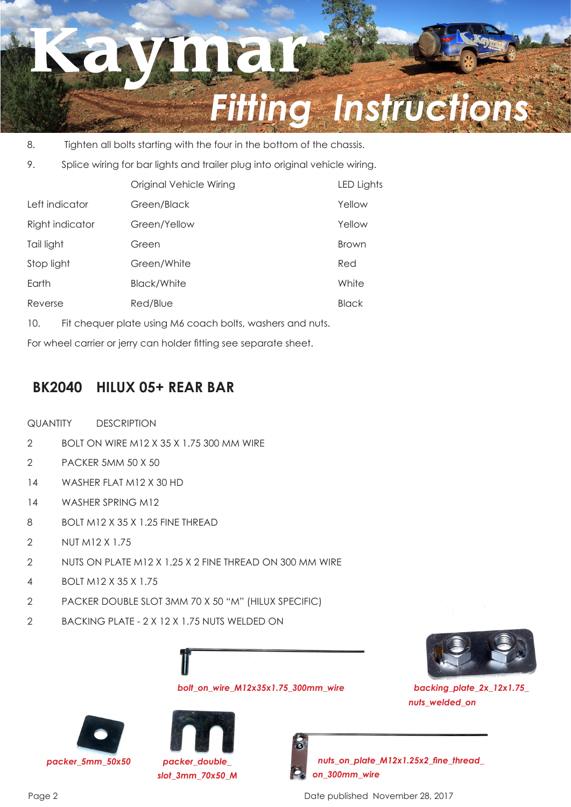

- 8. Tighten all bolts starting with the four in the bottom of the chassis.
- 9. Splice wiring for bar lights and trailer plug into original vehicle wiring.

|                 | Original Vehicle Wiring | LED Lights   |
|-----------------|-------------------------|--------------|
| Left indicator  | Green/Black             | Yellow       |
| Right indicator | Green/Yellow            | Yellow       |
| Tail light      | Green                   | <b>Brown</b> |
| Stop light      | Green/White             | Red          |
| Earth           | <b>Black/White</b>      | White        |
| Reverse         | Red/Blue                | <b>Black</b> |

10. Fit chequer plate using M6 coach bolts, washers and nuts.

For wheel carrier or jerry can holder fitting see separate sheet.

## **BK2040 HILUX 05+ REAR BAR**

- QUANTITY DESCRIPTION
- 2 BOLT ON WIRE M12 X 35 X 1.75 300 MM WIRE
- 2 PACKER 5MM 50 X 50
- 14 WASHER FLAT M12 X 30 HD
- 14 WASHER SPRING M12
- 8 BOLT M12 X 35 X 1.25 FINE THREAD
- 2 NUT M12 X 1.75
- 2 NUTS ON PLATE M12 X 1.25 X 2 FINE THREAD ON 300 MM WIRE
- 4 BOLT M12 X 35 X 1.75
- 2 PACKER DOUBLE SLOT 3MM 70 X 50 "M" (HILUX SPECIFIC)
- 2 BACKING PLATE 2 X 12 X 1.75 NUTS WELDED ON



*backing\_plate\_2x\_12x1.75\_ nuts\_welded\_on*





*slot\_3mm\_70x50\_M*



*bolt\_on\_wire\_M12x35x1.75\_300mm\_wire*

*packer\_5mm\_50x50 nuts\_on\_plate\_M12x1.25x2\_fine\_thread\_ on\_300mm\_wire*

Page 2 Date published November 28, 2017